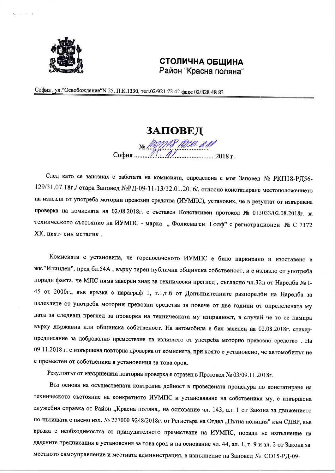

 $\in \mathbb{R}$  and

## СТОЛИЧНА ОБЩИНА Район "Красна поляна"

София, ул. "Освобождение" N 25, П.К.1330, тел.02/921 72 42 факс 02/828 48 83

## ЗАПОВЕД

No MMP 1256-211 София.

След като се запознах с работата на комисията, определена с моя Заповед № РКП18-РД56-129/31.07.18г./ стара Заповед №РД-09-11-13/12.01.2016/, относно констатиране местоположението на излезли от употреба моторни превозни средства (ИУМПС), установих, че в резултат от извършена проверка на комисията на 02.08.2018г. е съставен Констативен протокол № 013033/02.08.2018г. за техническото състояние на ИУМПС - марка "Фолксваген Голф" с регистрационен № С 7372 ХК, цвят-син металик.

Комисията е установила, че горепосоченото ИУМПС е било паркирано и изоставено в жк."Илинден", пред бл.54А, върху терен публична общинска собственост, и е излязло от употреба поради факта, че МПС няма заверен знак за технически преглед, съгласно чл.32д от Наредба № I-45 от 2000г., във връзка с параграф 1, т.1,т.б от Допълнителните разпоредби на Наредба за излезлите от употреба моторни превозни средства за повече от две години от определената му дата за следващ преглед за проверка на техническата му изправност, в случай че то се намира върху държавна или общинска собственост. На автомобила е бил залепен на 02.08.2018г. стикерпредписание за доброволно преместване на излязлото от употреба моторно превозно средство. На 09.11.2018 г. е извършена повторна проверка от комисията, при която е установено, че автомобилът не е преместен от собственика в установения за това срок.

Резултатът от извършената повторна проверка е отразен в Протокол № 03/09.11.2018г.

Въз основа на осъществената контролна дейност в проведената процедура по констатиране на техническото състояние на конкретното ИУМПС и установяване на собственика му, е извършена служебна справка от Район "Красна поляна,, на основание чл. 143, ал. 1 от Закона за движението по пътищата с писмо изх. № 227000-9248/2018г. от Регистъра на Отдел "Пътна полиция" към СДВР, във връзка с необходимостта от принудителното преместване на ИУМПС, поради не изпълнение на дадените предписания в установения за това срок и на основание чл. 44, ал. 1, т. 9 и ал. 2 от Закона за местното самоуправление и местната администрация, в изпълнение на Заповед № СО15-РД-09